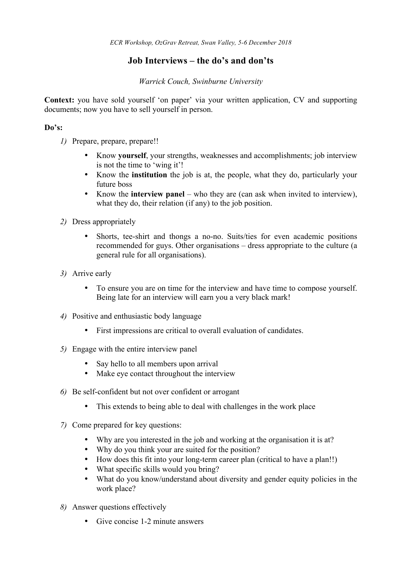## **Job Interviews – the do's and don'ts**

#### *Warrick Couch, Swinburne University*

**Context:** you have sold yourself 'on paper' via your written application, CV and supporting documents; now you have to sell yourself in person.

#### **Do's:**

- *1)* Prepare, prepare, prepare!!
	- Know **yourself**, your strengths, weaknesses and accomplishments; job interview is not the time to 'wing it'!
	- Know the **institution** the job is at, the people, what they do, particularly your future boss
	- Know the **interview panel** who they are (can ask when invited to interview), what they do, their relation (if any) to the job position.
- *2)* Dress appropriately
	- Shorts, tee-shirt and thongs a no-no. Suits/ties for even academic positions recommended for guys. Other organisations – dress appropriate to the culture (a general rule for all organisations).
- *3)* Arrive early
	- To ensure you are on time for the interview and have time to compose yourself. Being late for an interview will earn you a very black mark!
- *4)* Positive and enthusiastic body language
	- First impressions are critical to overall evaluation of candidates.
- *5)* Engage with the entire interview panel
	- Say hello to all members upon arrival
	- Make eye contact throughout the interview
- *6)* Be self-confident but not over confident or arrogant
	- This extends to being able to deal with challenges in the work place
- *7)* Come prepared for key questions:
	- Why are you interested in the job and working at the organisation it is at?
	- Why do you think your are suited for the position?
	- How does this fit into your long-term career plan (critical to have a plan!!)
	- What specific skills would you bring?
	- What do you know/understand about diversity and gender equity policies in the work place?
- *8)* Answer questions effectively
	- Give concise 1-2 minute answers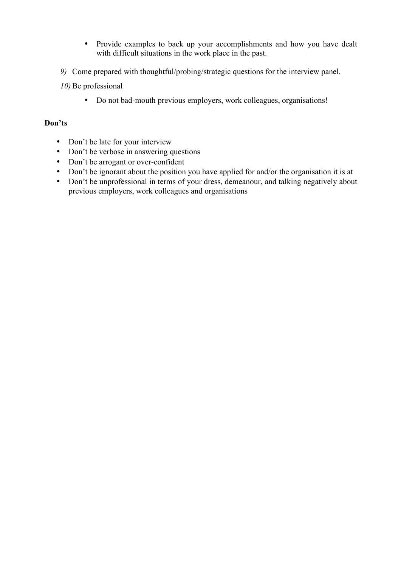- Provide examples to back up your accomplishments and how you have dealt with difficult situations in the work place in the past.
- *9)* Come prepared with thoughtful/probing/strategic questions for the interview panel.
- *10*) Be professional
	- Do not bad-mouth previous employers, work colleagues, organisations!

#### **Don'ts**

- Don't be late for your interview
- Don't be verbose in answering questions
- Don't be arrogant or over-confident
- Don't be ignorant about the position you have applied for and/or the organisation it is at
- Don't be unprofessional in terms of your dress, demeanour, and talking negatively about previous employers, work colleagues and organisations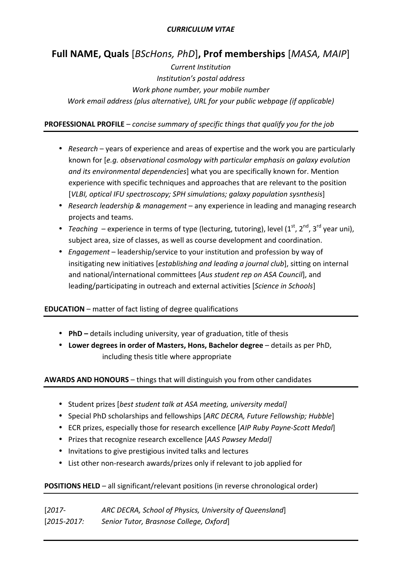#### *CURRICULUM VITAE*

# **Full NAME, Quals** [*BScHons, PhD*], Prof memberships [*MASA, MAIP*]

*Current Institution Institution's postal address Work phone number, your mobile number Work* email address (plus alternative), URL for your public webpage (if applicable)

#### **PROFESSIONAL PROFILE** – *concise summary of specific things that qualify you for the job*

- *Research* years of experience and areas of expertise and the work you are particularly known for [e.g. observational cosmology with particular emphasis on galaxy evolution *and its environmental dependencies*] what you are specifically known for. Mention experience with specific techniques and approaches that are relevant to the position [VLBI, optical IFU spectroscopy; SPH simulations; galaxy population sysnthesis]
- *Research leadership & management* any experience in leading and managing research projects and teams.
- *Teaching* experience in terms of type (lecturing, tutoring), level  $(1^{st}, 2^{nd}, 3^{rd}$  year uni), subject area, size of classes, as well as course development and coordination.
- *Engagement* leadership/service to your institution and profession by way of insitigating new initiatives [*establishing and leading a journal club*], sitting on internal and national/international committees [Aus student rep on ASA Council], and leading/participating in outreach and external activities [Science in Schools]

## **EDUCATION** – matter of fact listing of degree qualifications

- **PhD** details including university, year of graduation, title of thesis
- Lower degrees in order of Masters, Hons, Bachelor degree details as per PhD, including thesis title where appropriate

## **AWARDS AND HONOURS** – things that will distinguish you from other candidates

- Student prizes *[best student talk at ASA meeting, university medal]*
- Special PhD scholarships and fellowships [ARC DECRA, Future Fellowship; Hubble]
- ECR prizes, especially those for research excellence [AIP Ruby Payne-Scott Medal]
- Prizes that recognize research excellence [AAS Pawsey Medal]
- Invitations to give prestigious invited talks and lectures
- List other non-research awards/prizes only if relevant to job applied for

## **POSITIONS HELD** – all significant/relevant positions (in reverse chronological order)

| $[2017-$        | ARC DECRA, School of Physics, University of Queensland |
|-----------------|--------------------------------------------------------|
| $[2015 - 2017]$ | Senior Tutor, Brasnose College, Oxford                 |